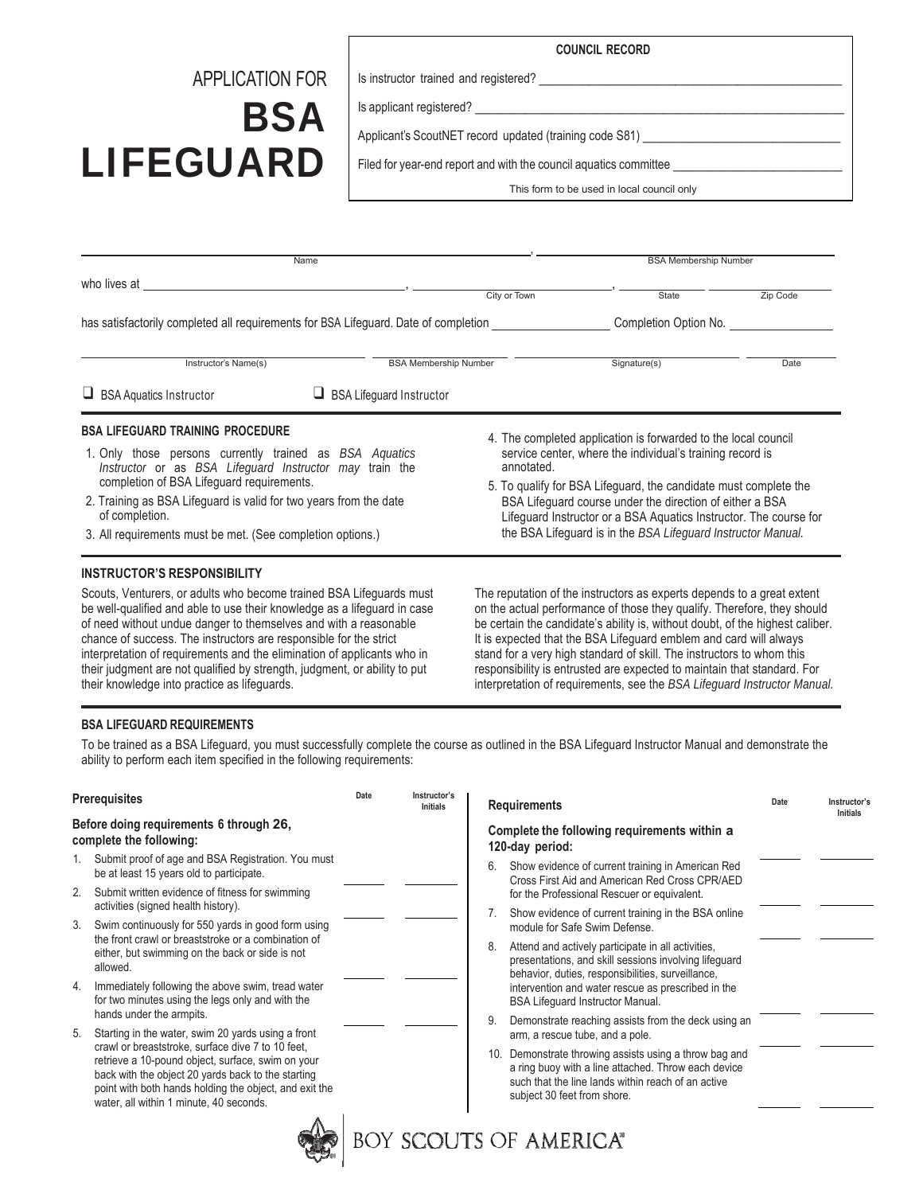### **COUNCIL RECORD**

## APPLICATION FOR

# **BSA** LIFEGUARD

Is instructor trained and registered?

Is applicant registered? \_\_\_\_\_\_\_\_\_\_\_\_\_\_\_\_\_\_\_\_\_\_\_\_\_\_\_\_\_\_\_\_\_\_\_\_\_\_\_\_\_\_\_\_\_\_\_\_\_\_\_\_\_\_\_\_\_\_\_

Applicant's ScoutNET record updated (training code S81)

Filed for year-end report and with the council aquatics committee

This form to be used in local council only

| Name                                                                                                                                                                                                                                                                                                                                                            |                                                                                                                                                                                                                                                                                                                                                                                                                |       | <b>BSA Membership Number</b>                                                                                                                                                                                                       |      |  |
|-----------------------------------------------------------------------------------------------------------------------------------------------------------------------------------------------------------------------------------------------------------------------------------------------------------------------------------------------------------------|----------------------------------------------------------------------------------------------------------------------------------------------------------------------------------------------------------------------------------------------------------------------------------------------------------------------------------------------------------------------------------------------------------------|-------|------------------------------------------------------------------------------------------------------------------------------------------------------------------------------------------------------------------------------------|------|--|
| who lives at the state of the state of the state of the state of the state of the state of the state of the state of the state of the state of the state of the state of the state of the state of the state of the state of t                                                                                                                                  | City or Town                                                                                                                                                                                                                                                                                                                                                                                                   | State | Zip Code                                                                                                                                                                                                                           |      |  |
| has satisfactorily completed all requirements for BSA Lifeguard. Date of completion entity and the completion Option No.                                                                                                                                                                                                                                        |                                                                                                                                                                                                                                                                                                                                                                                                                |       |                                                                                                                                                                                                                                    |      |  |
| Instructor's Name(s)                                                                                                                                                                                                                                                                                                                                            | <b>BSA Membership Number</b>                                                                                                                                                                                                                                                                                                                                                                                   |       | Signature(s)                                                                                                                                                                                                                       | Date |  |
| $\Box$ BSA Aquatics Instructor                                                                                                                                                                                                                                                                                                                                  | <b>BSA Lifeguard Instructor</b><br>ч.                                                                                                                                                                                                                                                                                                                                                                          |       |                                                                                                                                                                                                                                    |      |  |
| <b>BSA LIFEGUARD TRAINING PROCEDURE</b><br>1. Only those persons currently trained as BSA Aguatics<br>Instructor or as BSA Lifeguard Instructor may train the<br>completion of BSA Lifeguard requirements.<br>2. Training as BSA Lifeguard is valid for two years from the date<br>of completion.<br>3. All requirements must be met. (See completion options.) | 4. The completed application is forwarded to the local council<br>service center, where the individual's training record is<br>annotated.<br>5. To qualify for BSA Lifeguard, the candidate must complete the<br>BSA Lifeguard course under the direction of either a BSA<br>Lifeguard Instructor or a BSA Aquatics Instructor. The course for<br>the BSA Lifeguard is in the BSA Lifeguard Instructor Manual. |       |                                                                                                                                                                                                                                    |      |  |
| <b>INSTRUCTOR'S RESPONSIBILITY</b><br>Scouts, Venturers, or adults who become trained BSA Lifeguards must<br>be well-qualified and able to use their knowledge as a lifeguard in case<br>of need without undue danger to themselves and with a reasonable                                                                                                       |                                                                                                                                                                                                                                                                                                                                                                                                                |       | The reputation of the instructors as experts depends to a great extent<br>on the actual performance of those they qualify. Therefore, they should<br>be certain the candidate's ability is, without doubt, of the highest caliber. |      |  |

of need without undue danger to themselves and with a reasonable chance of success. The instructors are responsible for the strict interpretation of requirements and the elimination of applicants who in their judgment are not qualified by strength, judgment, or ability to put their knowledge into practice as lifeguards.

be certain the candidate's ability is, without doubt, of the highest caliber. It is expected that the BSA Lifeguard emblem and card will always stand for a very high standard of skill. The instructors to whom this responsibility is entrusted are expected to maintain that standard. For interpretation of requirements, see the *BSA Lifeguard Instructor Manual.*

#### **BSA LIFEGUARD REQUIREMENTS**

To be trained as a BSA Lifeguard, you must successfully complete the course as outlined in the BSA Lifeguard Instructor Manual and demonstrate the ability to perform each item specified in the following requirements:

| <b>Prerequisites</b>                                                                                                                                                                                                                                              | Date | Instructor's<br><b>Initials</b> | Date<br><b>Requirements</b>                                                                                                                                                                                       | Instructor's<br><b>Initials</b> |  |  |
|-------------------------------------------------------------------------------------------------------------------------------------------------------------------------------------------------------------------------------------------------------------------|------|---------------------------------|-------------------------------------------------------------------------------------------------------------------------------------------------------------------------------------------------------------------|---------------------------------|--|--|
| Before doing requirements 6 through 26,<br>complete the following:                                                                                                                                                                                                |      |                                 | Complete the following requirements within a<br>120-day period:                                                                                                                                                   |                                 |  |  |
| Submit proof of age and BSA Registration. You must<br>be at least 15 years old to participate.<br>Submit written evidence of fitness for swimming<br>2.                                                                                                           |      |                                 | Show evidence of current training in American Red<br>6.<br>Cross First Aid and American Red Cross CPR/AED<br>for the Professional Rescuer or equivalent.                                                          |                                 |  |  |
| activities (signed health history).<br>Swim continuously for 550 yards in good form using<br>3.                                                                                                                                                                   |      |                                 | Show evidence of current training in the BSA online<br>module for Safe Swim Defense.                                                                                                                              |                                 |  |  |
| the front crawl or breaststroke or a combination of<br>either, but swimming on the back or side is not<br>allowed.                                                                                                                                                |      |                                 | Attend and actively participate in all activities,<br>8.<br>presentations, and skill sessions involving lifeguard<br>behavior, duties, responsibilities, surveillance,                                            |                                 |  |  |
| Immediately following the above swim, tread water<br>4.<br>for two minutes using the legs only and with the<br>hands under the armpits.                                                                                                                           |      |                                 | intervention and water rescue as prescribed in the<br><b>BSA Lifeguard Instructor Manual.</b>                                                                                                                     |                                 |  |  |
| Starting in the water, swim 20 yards using a front<br>5.                                                                                                                                                                                                          |      |                                 | 9.<br>Demonstrate reaching assists from the deck using an<br>arm, a rescue tube, and a pole.                                                                                                                      |                                 |  |  |
| crawl or breaststroke, surface dive 7 to 10 feet,<br>retrieve a 10-pound object, surface, swim on your<br>back with the object 20 yards back to the starting<br>point with both hands holding the object, and exit the<br>water, all within 1 minute, 40 seconds. |      |                                 | Demonstrate throwing assists using a throw bag and<br>10 <sub>1</sub><br>a ring buoy with a line attached. Throw each device<br>such that the line lands within reach of an active<br>subject 30 feet from shore. |                                 |  |  |
| <b>BOY SCOUTS OF AMERICA®</b>                                                                                                                                                                                                                                     |      |                                 |                                                                                                                                                                                                                   |                                 |  |  |